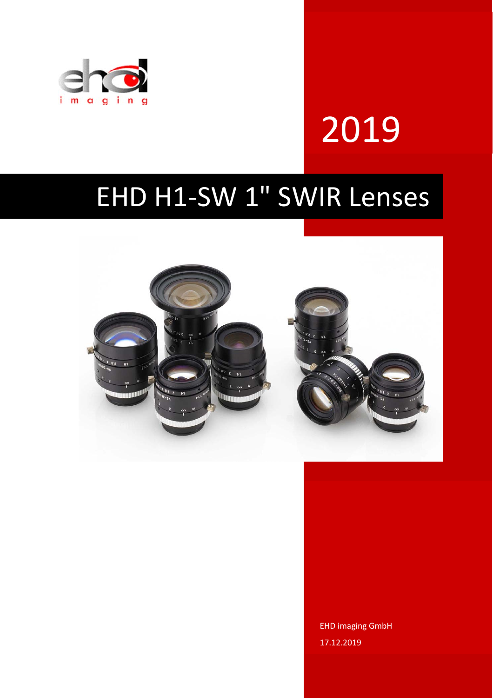

# 2019

## EHD H1‐SW 1" SWIR Lenses



EHD imaging GmbH 17.12.2019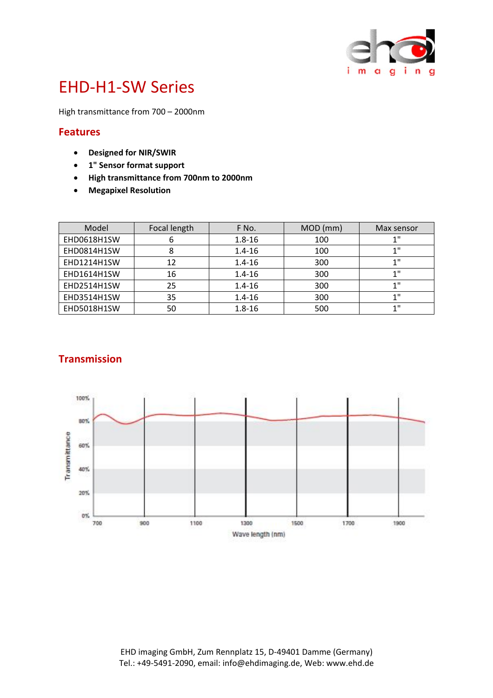

### EHD‐H1‐SW Series

High transmittance from 700 – 2000nm

#### **Features**

- **Designed for NIR/SWIR**
- **1" Sensor format support**
- **High transmittance from 700nm to 2000nm**
- **Megapixel Resolution**

| Model              | Focal length | F No.      | MOD (mm) | Max sensor |
|--------------------|--------------|------------|----------|------------|
| EHD0618H1SW        | ь            | $1.8 - 16$ | 100      | 4 II       |
| EHD0814H1SW        | 8            | $1.4 - 16$ | 100      | 4 H        |
| EHD1214H1SW        | 12           | $1.4 - 16$ | 300      | 4 H        |
| EHD1614H1SW        | 16           | $1.4 - 16$ | 300      |            |
| EHD2514H1SW        | 25           | $1.4 - 16$ | 300      | 4 II       |
| <b>EHD3514H1SW</b> | 35           | $1.4 - 16$ | 300      | - 11       |
| EHD5018H1SW        | 50           | $1.8 - 16$ | 500      | 411        |

#### **Transmission**

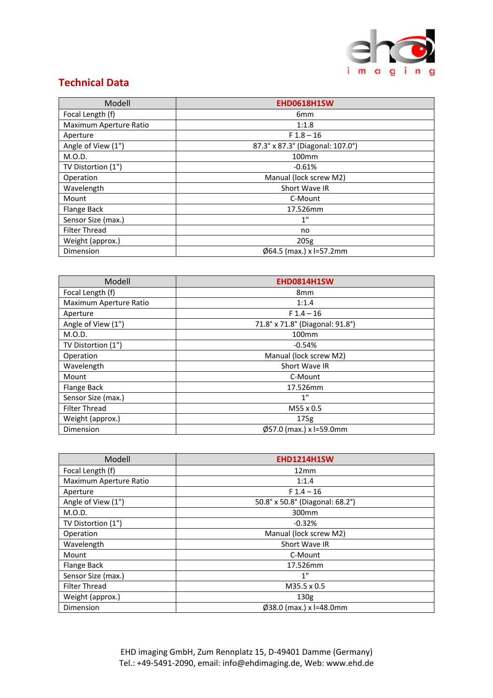

#### **Technical Data**

| Modell                 | EHD0618H1SW                        |
|------------------------|------------------------------------|
| Focal Length (f)       | 6 <sub>mm</sub>                    |
| Maximum Aperture Ratio | 1:1.8                              |
| Aperture               | $F1.8 - 16$                        |
| Angle of View (1")     | 87.3° x 87.3° (Diagonal: 107.0°)   |
| M.O.D.                 | 100 <sub>mm</sub>                  |
| TV Distortion (1")     | $-0.61%$                           |
| Operation              | Manual (lock screw M2)             |
| Wavelength             | Short Wave IR                      |
| Mount                  | C-Mount                            |
| Flange Back            | 17.526mm                           |
| Sensor Size (max.)     | 1"                                 |
| <b>Filter Thread</b>   | no                                 |
| Weight (approx.)       | 205g                               |
| Dimension              | $\emptyset$ 64.5 (max.) x l=57.2mm |

| Modell                 | <b>EHD0814H1SW</b>              |
|------------------------|---------------------------------|
| Focal Length (f)       | 8 <sub>mm</sub>                 |
| Maximum Aperture Ratio | 1:1.4                           |
| Aperture               | $F1.4 - 16$                     |
| Angle of View (1")     | 71.8° x 71.8° (Diagonal: 91.8°) |
| M.O.D.                 | 100 <sub>mm</sub>               |
| TV Distortion (1")     | $-0.54%$                        |
| Operation              | Manual (lock screw M2)          |
| Wavelength             | Short Wave IR                   |
| Mount                  | C-Mount                         |
| Flange Back            | 17.526mm                        |
| Sensor Size (max.)     | 1"                              |
| <b>Filter Thread</b>   | M55 x 0.5                       |
| Weight (approx.)       | 175 <sub>g</sub>                |
| Dimension              | Ø57.0 (max.) x l=59.0mm         |

| Modell                 | <b>EHD1214H1SW</b>                 |
|------------------------|------------------------------------|
| Focal Length (f)       | 12mm                               |
| Maximum Aperture Ratio | 1:1.4                              |
| Aperture               | $F1.4 - 16$                        |
| Angle of View (1")     | 50.8° x 50.8° (Diagonal: 68.2°)    |
| M.O.D.                 | 300mm                              |
| TV Distortion (1")     | $-0.32%$                           |
| Operation              | Manual (lock screw M2)             |
| Wavelength             | Short Wave IR                      |
| Mount                  | C-Mount                            |
| Flange Back            | 17.526mm                           |
| Sensor Size (max.)     | 1"                                 |
| <b>Filter Thread</b>   | M35.5 x 0.5                        |
| Weight (approx.)       | 130 <sub>g</sub>                   |
| Dimension              | $\emptyset$ 38.0 (max.) x l=48.0mm |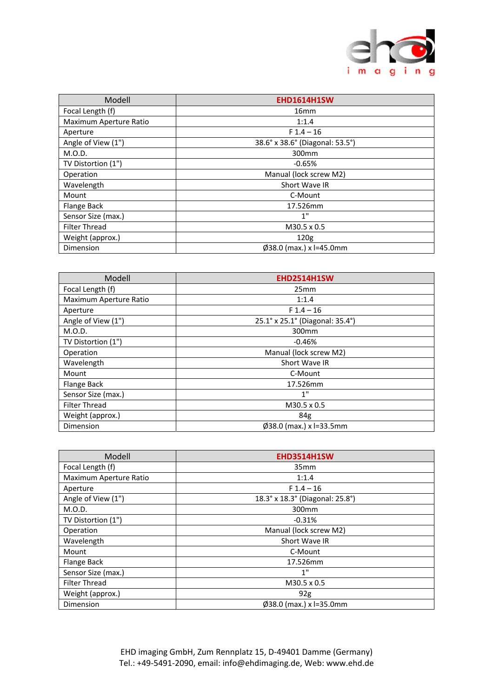

| Modell                 | <b>EHD1614H1SW</b>                 |
|------------------------|------------------------------------|
| Focal Length (f)       | 16 <sub>mm</sub>                   |
| Maximum Aperture Ratio | 1:1.4                              |
| Aperture               | $F1.4 - 16$                        |
| Angle of View (1")     | 38.6° x 38.6° (Diagonal: 53.5°)    |
| M.O.D.                 | 300mm                              |
| TV Distortion (1")     | $-0.65%$                           |
| Operation              | Manual (lock screw M2)             |
| Wavelength             | Short Wave IR                      |
| Mount                  | C-Mount                            |
| Flange Back            | 17.526mm                           |
| Sensor Size (max.)     | 1"                                 |
| <b>Filter Thread</b>   | M30.5 x 0.5                        |
| Weight (approx.)       | 120 <sub>g</sub>                   |
| Dimension              | $\emptyset$ 38.0 (max.) x l=45.0mm |

| Modell                 | <b>EHD2514H1SW</b>                 |
|------------------------|------------------------------------|
| Focal Length (f)       | 25mm                               |
| Maximum Aperture Ratio | 1:1.4                              |
| Aperture               | $F1.4 - 16$                        |
| Angle of View (1")     | 25.1° x 25.1° (Diagonal: 35.4°)    |
| M.O.D.                 | 300mm                              |
| TV Distortion (1")     | $-0.46%$                           |
| Operation              | Manual (lock screw M2)             |
| Wavelength             | Short Wave IR                      |
| Mount                  | C-Mount                            |
| Flange Back            | 17.526mm                           |
| Sensor Size (max.)     | 1"                                 |
| <b>Filter Thread</b>   | M30.5 x 0.5                        |
| Weight (approx.)       | 84g                                |
| Dimension              | $\emptyset$ 38.0 (max.) x l=33.5mm |

| Modell                 | <b>EHD3514H1SW</b>              |
|------------------------|---------------------------------|
| Focal Length (f)       | 35 <sub>mm</sub>                |
| Maximum Aperture Ratio | 1:1.4                           |
| Aperture               | $F1.4 - 16$                     |
| Angle of View (1")     | 18.3° x 18.3° (Diagonal: 25.8°) |
| M.O.D.                 | 300mm                           |
| TV Distortion (1")     | $-0.31%$                        |
| Operation              | Manual (lock screw M2)          |
| Wavelength             | Short Wave IR                   |
| Mount                  | C-Mount                         |
| Flange Back            | 17.526mm                        |
| Sensor Size (max.)     | 1"                              |
| <b>Filter Thread</b>   | M30.5 x 0.5                     |
| Weight (approx.)       | 92g                             |
| Dimension              | Ø38.0 (max.) x l=35.0mm         |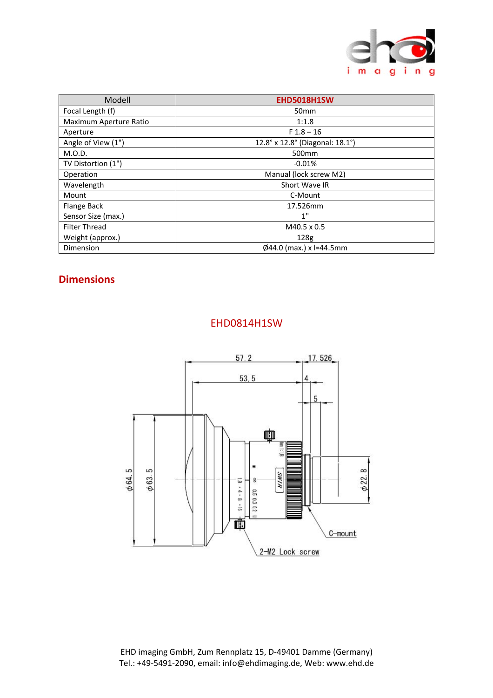

| Modell                 | <b>EHD5018H1SW</b>                 |
|------------------------|------------------------------------|
| Focal Length (f)       | 50 <sub>mm</sub>                   |
| Maximum Aperture Ratio | 1:1.8                              |
| Aperture               | $F1.8 - 16$                        |
| Angle of View (1")     | 12.8° x 12.8° (Diagonal: 18.1°)    |
| M.O.D.                 | 500 <sub>mm</sub>                  |
| TV Distortion (1")     | $-0.01%$                           |
| Operation              | Manual (lock screw M2)             |
| Wavelength             | Short Wave IR                      |
| Mount                  | C-Mount                            |
| Flange Back            | 17.526mm                           |
| Sensor Size (max.)     | 1"                                 |
| <b>Filter Thread</b>   | M40.5 x 0.5                        |
| Weight (approx.)       | 128 <sub>g</sub>                   |
| Dimension              | $\emptyset$ 44.0 (max.) x l=44.5mm |

#### **Dimensions**



#### EHD0814H1SW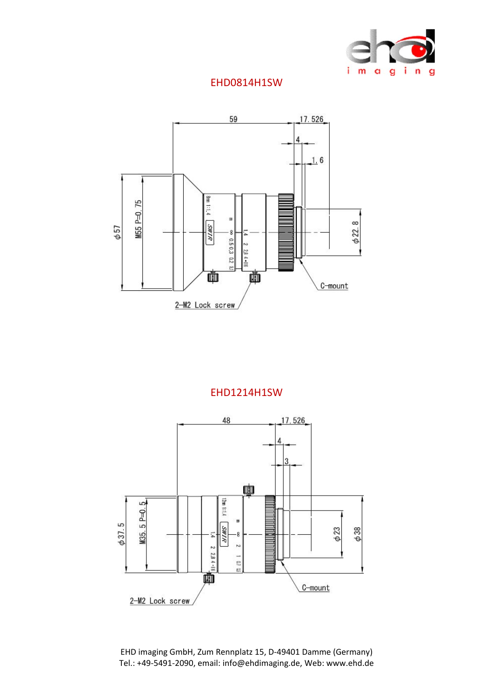

#### EHD0814H1SW



#### EHD1214H1SW

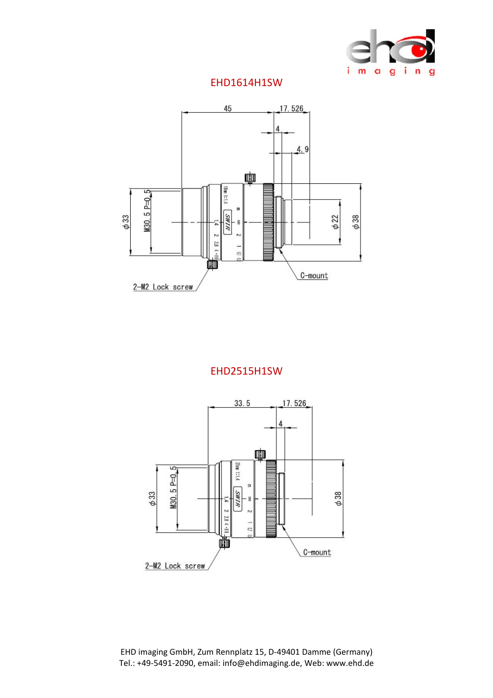

#### EHD1614H1SW



#### EHD2515H1SW